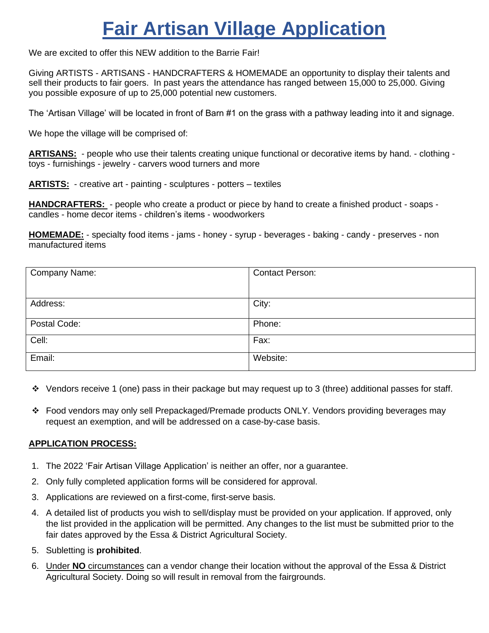# **Fair Artisan Village Application**

We are excited to offer this NEW addition to the Barrie Fair!

Giving ARTISTS - ARTISANS - HANDCRAFTERS & HOMEMADE an opportunity to display their talents and sell their products to fair goers. In past years the attendance has ranged between 15,000 to 25,000. Giving you possible exposure of up to 25,000 potential new customers.

The 'Artisan Village' will be located in front of Barn #1 on the grass with a pathway leading into it and signage.

We hope the village will be comprised of:

**ARTISANS:** - people who use their talents creating unique functional or decorative items by hand. - clothing toys - furnishings - jewelry - carvers wood turners and more

**ARTISTS:** - creative art - painting - sculptures - potters – textiles

**HANDCRAFTERS:** - people who create a product or piece by hand to create a finished product - soaps candles - home decor items - children's items - woodworkers

**HOMEMADE:** - specialty food items - jams - honey - syrup - beverages - baking - candy - preserves - non manufactured items

| Company Name: | <b>Contact Person:</b> |
|---------------|------------------------|
|               |                        |
| Address:      | City:                  |
| Postal Code:  | Phone:                 |
| Cell:         | Fax:                   |
| Email:        | Website:               |

- ❖ Vendors receive 1 (one) pass in their package but may request up to 3 (three) additional passes for staff.
- ❖ Food vendors may only sell Prepackaged/Premade products ONLY. Vendors providing beverages may request an exemption, and will be addressed on a case-by-case basis.

# **APPLICATION PROCESS:**

- 1. The 2022 'Fair Artisan Village Application' is neither an offer, nor a guarantee.
- 2. Only fully completed application forms will be considered for approval.
- 3. Applications are reviewed on a first-come, first-serve basis.
- 4. A detailed list of products you wish to sell/display must be provided on your application. If approved, only the list provided in the application will be permitted. Any changes to the list must be submitted prior to the fair dates approved by the Essa & District Agricultural Society.
- 5. Subletting is **prohibited**.
- 6. Under **NO** circumstances can a vendor change their location without the approval of the Essa & District Agricultural Society. Doing so will result in removal from the fairgrounds.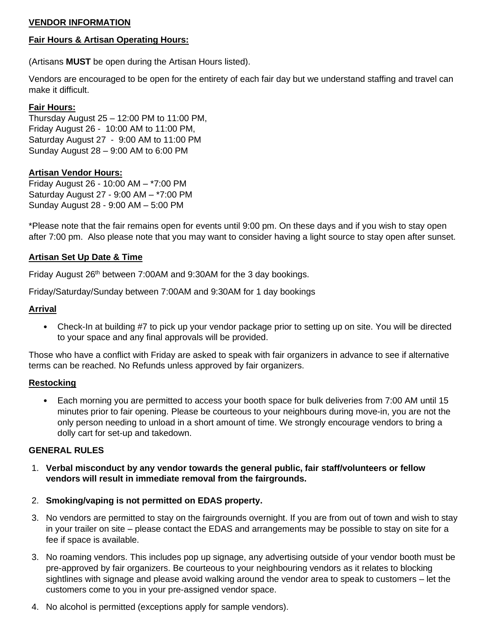# **VENDOR INFORMATION**

#### **Fair Hours & Artisan Operating Hours:**

(Artisans **MUST** be open during the Artisan Hours listed).

Vendors are encouraged to be open for the entirety of each fair day but we understand staffing and travel can make it difficult.

### **Fair Hours:**

Thursday August 25 – 12:00 PM to 11:00 PM, Friday August 26 - 10:00 AM to 11:00 PM, Saturday August 27 - 9:00 AM to 11:00 PM Sunday August 28 – 9:00 AM to 6:00 PM

#### **Artisan Vendor Hours:**

Friday August 26 - 10:00 AM – \*7:00 PM Saturday August 27 - 9:00 AM – \*7:00 PM Sunday August 28 - 9:00 AM – 5:00 PM

\*Please note that the fair remains open for events until 9:00 pm. On these days and if you wish to stay open after 7:00 pm. Also please note that you may want to consider having a light source to stay open after sunset.

### **Artisan Set Up Date & Time**

Friday August 26<sup>th</sup> between 7:00AM and 9:30AM for the 3 day bookings.

Friday/Saturday/Sunday between 7:00AM and 9:30AM for 1 day bookings

### **Arrival**

• Check-In at building #7 to pick up your vendor package prior to setting up on site. You will be directed to your space and any final approvals will be provided.

Those who have a conflict with Friday are asked to speak with fair organizers in advance to see if alternative terms can be reached. No Refunds unless approved by fair organizers.

#### **Restocking**

• Each morning you are permitted to access your booth space for bulk deliveries from 7:00 AM until 15 minutes prior to fair opening. Please be courteous to your neighbours during move-in, you are not the only person needing to unload in a short amount of time. We strongly encourage vendors to bring a dolly cart for set-up and takedown.

#### **GENERAL RULES**

- 1. **Verbal misconduct by any vendor towards the general public, fair staff/volunteers or fellow vendors will result in immediate removal from the fairgrounds.**
- 2. **Smoking/vaping is not permitted on EDAS property.**
- 3. No vendors are permitted to stay on the fairgrounds overnight. If you are from out of town and wish to stay in your trailer on site – please contact the EDAS and arrangements may be possible to stay on site for a fee if space is available.
- 3. No roaming vendors. This includes pop up signage, any advertising outside of your vendor booth must be pre-approved by fair organizers. Be courteous to your neighbouring vendors as it relates to blocking sightlines with signage and please avoid walking around the vendor area to speak to customers – let the customers come to you in your pre-assigned vendor space.
- 4. No alcohol is permitted (exceptions apply for sample vendors).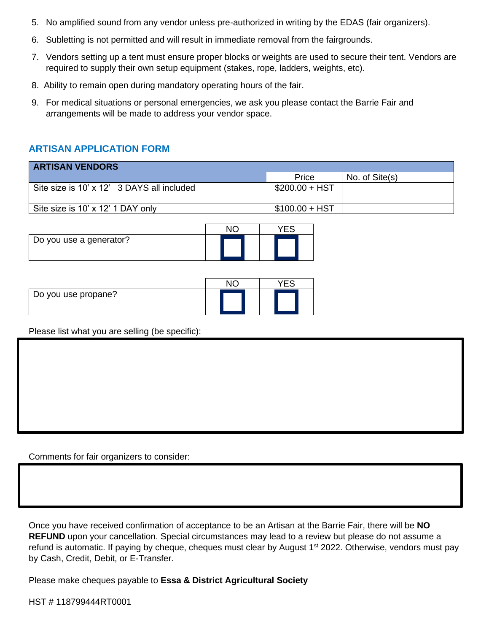- 5. No amplified sound from any vendor unless pre-authorized in writing by the EDAS (fair organizers).
- 6. Subletting is not permitted and will result in immediate removal from the fairgrounds.
- 7. Vendors setting up a tent must ensure proper blocks or weights are used to secure their tent. Vendors are required to supply their own setup equipment (stakes, rope, ladders, weights, etc).
- 8. Ability to remain open during mandatory operating hours of the fair.
- 9. For medical situations or personal emergencies, we ask you please contact the Barrie Fair and arrangements will be made to address your vendor space.

# **ARTISAN APPLICATION FORM**

| <b>ARTISAN VENDORS</b>                     |                 |                |  |  |
|--------------------------------------------|-----------------|----------------|--|--|
|                                            | Price           | No. of Site(s) |  |  |
| Site size is 10' x 12' 3 DAYS all included | $$200.00 + HST$ |                |  |  |
| Site size is 10' x 12' 1 DAY only          | $$100.00 + HST$ |                |  |  |

| Do you use a generator? |  |
|-------------------------|--|

| Do you use propane? |  |
|---------------------|--|

Please list what you are selling (be specific):

Comments for fair organizers to consider:

Once you have received confirmation of acceptance to be an Artisan at the Barrie Fair, there will be **NO REFUND** upon your cancellation. Special circumstances may lead to a review but please do not assume a refund is automatic. If paying by cheque, cheques must clear by August 1<sup>st</sup> 2022. Otherwise, vendors must pay by Cash, Credit, Debit, or E-Transfer.

Please make cheques payable to **Essa & District Agricultural Society**

HST # 118799444RT0001